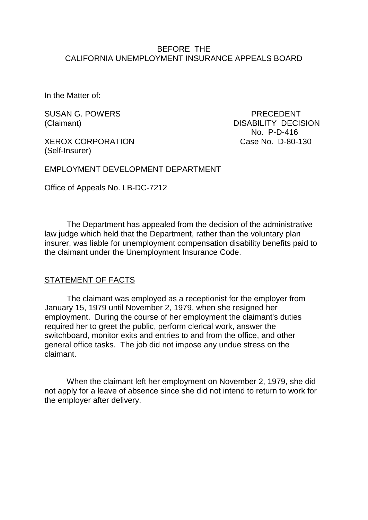#### BEFORE THE CALIFORNIA UNEMPLOYMENT INSURANCE APPEALS BOARD

In the Matter of:

SUSAN G. POWERS PRECEDENT

XEROX CORPORATION Case No. D-80-130 (Self-Insurer)

(Claimant) DISABILITY DECISION No. P-D-416

EMPLOYMENT DEVELOPMENT DEPARTMENT

Office of Appeals No. LB-DC-7212

The Department has appealed from the decision of the administrative law judge which held that the Department, rather than the voluntary plan insurer, was liable for unemployment compensation disability benefits paid to the claimant under the Unemployment Insurance Code.

#### STATEMENT OF FACTS

The claimant was employed as a receptionist for the employer from January 15, 1979 until November 2, 1979, when she resigned her employment. During the course of her employment the claimant's duties required her to greet the public, perform clerical work, answer the switchboard, monitor exits and entries to and from the office, and other general office tasks. The job did not impose any undue stress on the claimant.

When the claimant left her employment on November 2, 1979, she did not apply for a leave of absence since she did not intend to return to work for the employer after delivery.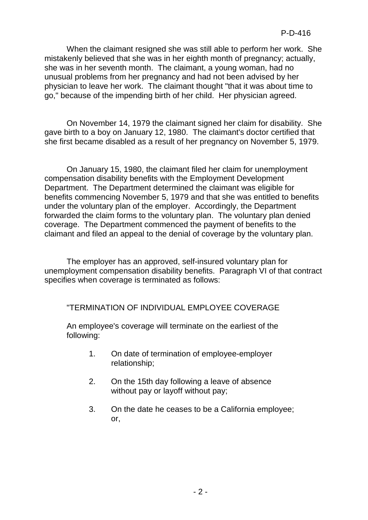When the claimant resigned she was still able to perform her work. She mistakenly believed that she was in her eighth month of pregnancy; actually, she was in her seventh month. The claimant, a young woman, had no unusual problems from her pregnancy and had not been advised by her physician to leave her work. The claimant thought "that it was about time to go," because of the impending birth of her child. Her physician agreed.

On November 14, 1979 the claimant signed her claim for disability. She gave birth to a boy on January 12, 1980. The claimant's doctor certified that she first became disabled as a result of her pregnancy on November 5, 1979.

On January 15, 1980, the claimant filed her claim for unemployment compensation disability benefits with the Employment Development Department. The Department determined the claimant was eligible for benefits commencing November 5, 1979 and that she was entitled to benefits under the voluntary plan of the employer. Accordingly, the Department forwarded the claim forms to the voluntary plan. The voluntary plan denied coverage. The Department commenced the payment of benefits to the claimant and filed an appeal to the denial of coverage by the voluntary plan.

The employer has an approved, self-insured voluntary plan for unemployment compensation disability benefits. Paragraph VI of that contract specifies when coverage is terminated as follows:

"TERMINATION OF INDIVIDUAL EMPLOYEE COVERAGE

An employee's coverage will terminate on the earliest of the following:

- 1. On date of termination of employee-employer relationship;
- 2. On the 15th day following a leave of absence without pay or layoff without pay;
- 3. On the date he ceases to be a California employee; or,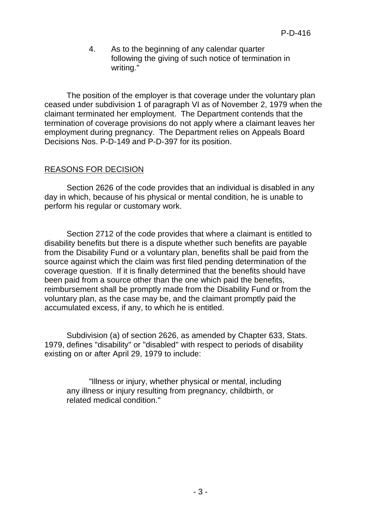4. As to the beginning of any calendar quarter following the giving of such notice of termination in writing."

The position of the employer is that coverage under the voluntary plan ceased under subdivision 1 of paragraph VI as of November 2, 1979 when the claimant terminated her employment. The Department contends that the termination of coverage provisions do not apply where a claimant leaves her employment during pregnancy. The Department relies on Appeals Board Decisions Nos. P-D-149 and P-D-397 for its position.

## REASONS FOR DECISION

Section 2626 of the code provides that an individual is disabled in any day in which, because of his physical or mental condition, he is unable to perform his regular or customary work.

Section 2712 of the code provides that where a claimant is entitled to disability benefits but there is a dispute whether such benefits are payable from the Disability Fund or a voluntary plan, benefits shall be paid from the source against which the claim was first filed pending determination of the coverage question. If it is finally determined that the benefits should have been paid from a source other than the one which paid the benefits, reimbursement shall be promptly made from the Disability Fund or from the voluntary plan, as the case may be, and the claimant promptly paid the accumulated excess, if any, to which he is entitled.

Subdivision (a) of section 2626, as amended by Chapter 633, Stats. 1979, defines "disability" or "disabled" with respect to periods of disability existing on or after April 29, 1979 to include:

"Illness or injury, whether physical or mental, including any illness or injury resulting from pregnancy, childbirth, or related medical condition."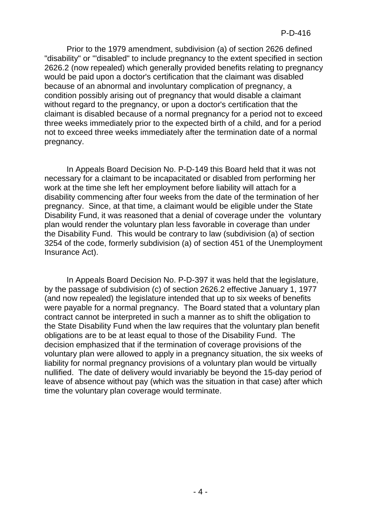Prior to the 1979 amendment, subdivision (a) of section 2626 defined "disability" or '"disabled" to include pregnancy to the extent specified in section 2626.2 (now repealed) which generally provided benefits relating to pregnancy would be paid upon a doctor's certification that the claimant was disabled because of an abnormal and involuntary complication of pregnancy, a condition possibly arising out of pregnancy that would disable a claimant without regard to the pregnancy, or upon a doctor's certification that the claimant is disabled because of a normal pregnancy for a period not to exceed three weeks immediately prior to the expected birth of a child, and for a period not to exceed three weeks immediately after the termination date of a normal pregnancy.

In Appeals Board Decision No. P-D-149 this Board held that it was not necessary for a claimant to be incapacitated or disabled from performing her work at the time she left her employment before liability will attach for a disability commencing after four weeks from the date of the termination of her pregnancy. Since, at that time, a claimant would be eligible under the State Disability Fund, it was reasoned that a denial of coverage under the voluntary plan would render the voluntary plan less favorable in coverage than under the Disability Fund. This would be contrary to law (subdivision (a) of section 3254 of the code, formerly subdivision (a) of section 451 of the Unemployment Insurance Act).

In Appeals Board Decision No. P-D-397 it was held that the legislature, by the passage of subdivision (c) of section 2626.2 effective January 1, 1977 (and now repealed) the legislature intended that up to six weeks of benefits were payable for a normal pregnancy. The Board stated that a voluntary plan contract cannot be interpreted in such a manner as to shift the obligation to the State Disability Fund when the law requires that the voluntary plan benefit obligations are to be at least equal to those of the Disability Fund. The decision emphasized that if the termination of coverage provisions of the voluntary plan were allowed to apply in a pregnancy situation, the six weeks of liability for normal pregnancy provisions of a voluntary plan would be virtually nullified. The date of delivery would invariably be beyond the 15-day period of leave of absence without pay (which was the situation in that case) after which time the voluntary plan coverage would terminate.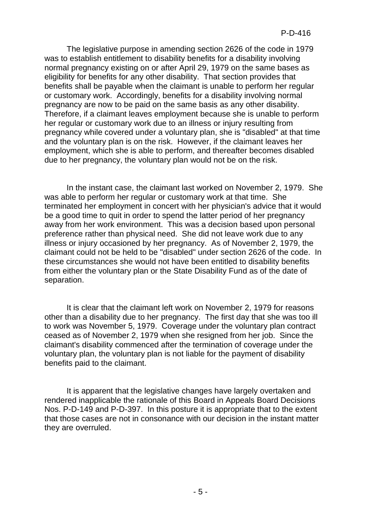The legislative purpose in amending section 2626 of the code in 1979 was to establish entitlement to disability benefits for a disability involving normal pregnancy existing on or after April 29, 1979 on the same bases as eligibility for benefits for any other disability. That section provides that benefits shall be payable when the claimant is unable to perform her regular or customary work. Accordingly, benefits for a disability involving normal pregnancy are now to be paid on the same basis as any other disability. Therefore, if a claimant leaves employment because she is unable to perform her regular or customary work due to an illness or injury resulting from pregnancy while covered under a voluntary plan, she is "disabled" at that time and the voluntary plan is on the risk. However, if the claimant leaves her employment, which she is able to perform, and thereafter becomes disabled due to her pregnancy, the voluntary plan would not be on the risk.

In the instant case, the claimant last worked on November 2, 1979. She was able to perform her regular or customary work at that time. She terminated her employment in concert with her physician's advice that it would be a good time to quit in order to spend the latter period of her pregnancy away from her work environment. This was a decision based upon personal preference rather than physical need. She did not leave work due to any illness or injury occasioned by her pregnancy. As of November 2, 1979, the claimant could not be held to be "disabled" under section 2626 of the code. In these circumstances she would not have been entitled to disability benefits from either the voluntary plan or the State Disability Fund as of the date of separation.

It is clear that the claimant left work on November 2, 1979 for reasons other than a disability due to her pregnancy. The first day that she was too ill to work was November 5, 1979. Coverage under the voluntary plan contract ceased as of November 2, 1979 when she resigned from her job. Since the claimant's disability commenced after the termination of coverage under the voluntary plan, the voluntary plan is not liable for the payment of disability benefits paid to the claimant.

It is apparent that the legislative changes have largely overtaken and rendered inapplicable the rationale of this Board in Appeals Board Decisions Nos. P-D-149 and P-D-397. In this posture it is appropriate that to the extent that those cases are not in consonance with our decision in the instant matter they are overruled.